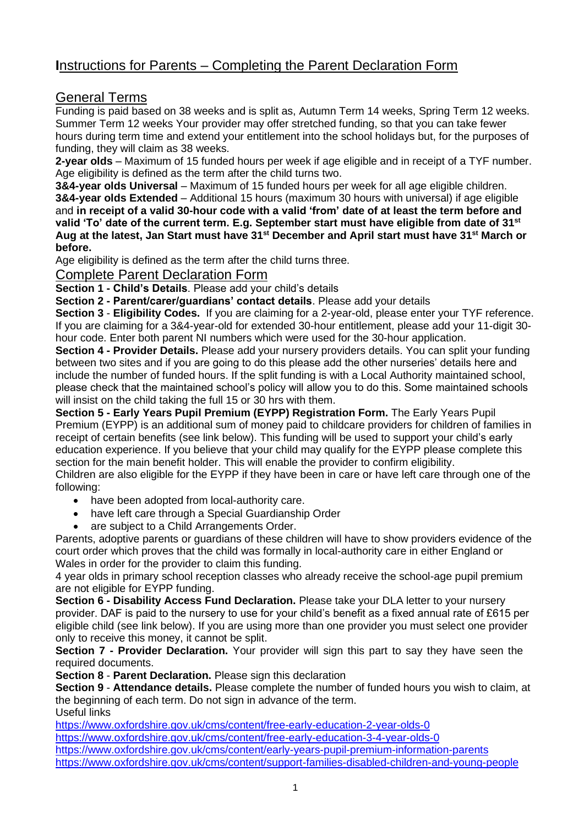# **I**nstructions for Parents – Completing the Parent Declaration Form

# General Terms

Funding is paid based on 38 weeks and is split as, Autumn Term 14 weeks, Spring Term 12 weeks. Summer Term 12 weeks Your provider may offer stretched funding, so that you can take fewer hours during term time and extend your entitlement into the school holidays but, for the purposes of funding, they will claim as 38 weeks.

**2-year olds** – Maximum of 15 funded hours per week if age eligible and in receipt of a TYF number. Age eligibility is defined as the term after the child turns two.

**3&4-year olds Universal** – Maximum of 15 funded hours per week for all age eligible children. **3&4-year olds Extended** – Additional 15 hours (maximum 30 hours with universal) if age eligible and **in receipt of a valid 30-hour code with a valid 'from' date of at least the term before and valid 'To' date of the current term. E.g. September start must have eligible from date of 31st Aug at the latest, Jan Start must have 31st December and April start must have 31st March or before.** 

Age eligibility is defined as the term after the child turns three.

### Complete Parent Declaration Form

**Section 1 - Child's Details**. Please add your child's details

**Section 2 - Parent/carer/guardians' contact details**. Please add your details

**Section 3** - **Eligibility Codes.** If you are claiming for a 2-year-old, please enter your TYF reference. If you are claiming for a 3&4-year-old for extended 30-hour entitlement, please add your 11-digit 30 hour code. Enter both parent NI numbers which were used for the 30-hour application.

**Section 4 - Provider Details.** Please add your nursery providers details. You can split your funding between two sites and if you are going to do this please add the other nurseries' details here and include the number of funded hours. If the split funding is with a Local Authority maintained school, please check that the maintained school's policy will allow you to do this. Some maintained schools will insist on the child taking the full 15 or 30 hrs with them.

**Section 5 - Early Years Pupil Premium (EYPP) Registration Form.** The Early Years Pupil Premium (EYPP) is an additional sum of money paid to childcare providers for children of families in receipt of certain benefits (see link below). This funding will be used to support your child's early education experience. If you believe that your child may qualify for the EYPP please complete this section for the main benefit holder. This will enable the provider to confirm eligibility. Children are also eligible for the EYPP if they have been in care or have left care through one of the following:

- have been adopted from local-authority care.
- have left care through a Special Guardianship Order
- are subject to a Child Arrangements Order.

Parents, adoptive parents or guardians of these children will have to show providers evidence of the court order which proves that the child was formally in local-authority care in either England or Wales in order for the provider to claim this funding.

4 year olds in primary school reception classes who already receive the school-age pupil premium are not eligible for EYPP funding.

**Section 6 - Disability Access Fund Declaration.** Please take your DLA letter to your nursery provider. DAF is paid to the nursery to use for your child's benefit as a fixed annual rate of £615 per eligible child (see link below). If you are using more than one provider you must select one provider only to receive this money, it cannot be split.

**Section 7 - Provider Declaration.** Your provider will sign this part to say they have seen the required documents.

**Section 8 - Parent Declaration.** Please sign this declaration

**Section 9** - **Attendance details.** Please complete the number of funded hours you wish to claim, at the beginning of each term. Do not sign in advance of the term.

Useful links

<https://www.oxfordshire.gov.uk/cms/content/free-early-education-2-year-olds-0>

<https://www.oxfordshire.gov.uk/cms/content/free-early-education-3-4-year-olds-0>

<https://www.oxfordshire.gov.uk/cms/content/early-years-pupil-premium-information-parents> <https://www.oxfordshire.gov.uk/cms/content/support-families-disabled-children-and-young-people>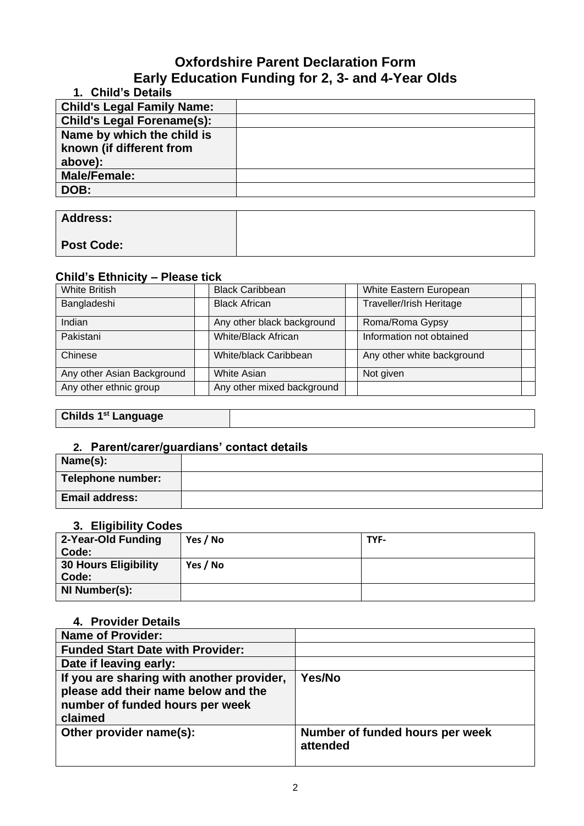# **Oxfordshire Parent Declaration Form Early Education Funding for 2, 3- and 4-Year Olds**

| 1. Child's Details                |  |
|-----------------------------------|--|
| <b>Child's Legal Family Name:</b> |  |
| <b>Child's Legal Forename(s):</b> |  |
| Name by which the child is        |  |
| known (if different from          |  |
| above):                           |  |
| <b>Male/Female:</b>               |  |
| DOB:                              |  |
|                                   |  |
| $\blacksquare$                    |  |

| <b>Address:</b>   |  |
|-------------------|--|
| <b>Post Code:</b> |  |

### **Child's Ethnicity – Please tick**

| <b>White British</b>       | White Eastern European<br><b>Black Caribbean</b>        |                 |  |  |
|----------------------------|---------------------------------------------------------|-----------------|--|--|
| Bangladeshi                | <b>Traveller/Irish Heritage</b><br><b>Black African</b> |                 |  |  |
| Indian                     | Any other black background                              | Roma/Roma Gypsy |  |  |
| Pakistani                  | Information not obtained<br>White/Black African         |                 |  |  |
| Chinese                    | Any other white background<br>White/black Caribbean     |                 |  |  |
| Any other Asian Background | <b>White Asian</b><br>Not given                         |                 |  |  |
| Any other ethnic group     | Any other mixed background                              |                 |  |  |

# **Childs 1st Language**

# **2. Parent/carer/guardians' contact details**

| Name(s):              |  |
|-----------------------|--|
| Telephone number:     |  |
| <b>Email address:</b> |  |

#### **3. Eligibility Codes**

| 2-Year-Old Funding          | Yes / No | TYF- |
|-----------------------------|----------|------|
| Code:                       |          |      |
| <b>30 Hours Eligibility</b> | Yes / No |      |
| Code:                       |          |      |
| NI Number(s):               |          |      |
|                             |          |      |

# **4. Provider Details**

| <b>Name of Provider:</b>                                                                                                       |                                             |
|--------------------------------------------------------------------------------------------------------------------------------|---------------------------------------------|
| <b>Funded Start Date with Provider:</b>                                                                                        |                                             |
| Date if leaving early:                                                                                                         |                                             |
| If you are sharing with another provider,<br>please add their name below and the<br>number of funded hours per week<br>claimed | Yes/No                                      |
| Other provider name(s):                                                                                                        | Number of funded hours per week<br>attended |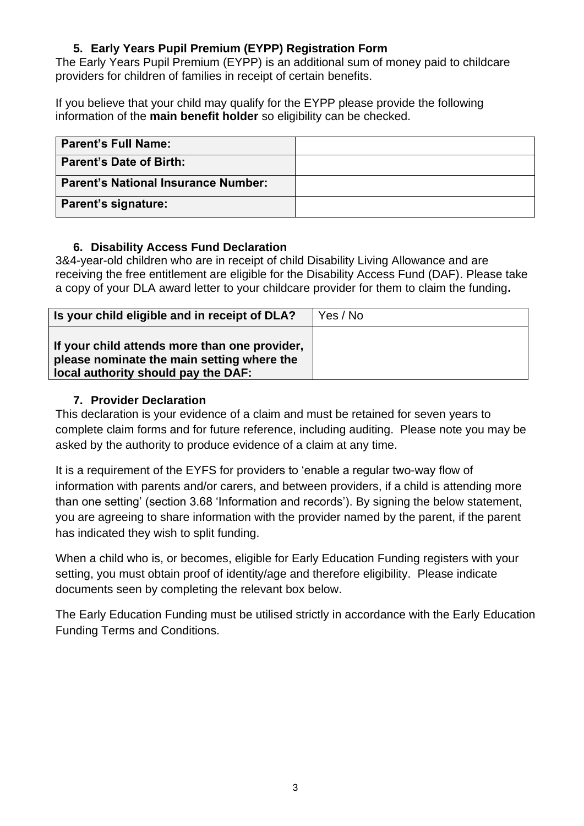# **5. Early Years Pupil Premium (EYPP) Registration Form**

The Early Years Pupil Premium (EYPP) is an additional sum of money paid to childcare providers for children of families in receipt of certain benefits.

If you believe that your child may qualify for the EYPP please provide the following information of the **main benefit holder** so eligibility can be checked.

| <b>Parent's Full Name:</b>          |  |
|-------------------------------------|--|
| <b>Parent's Date of Birth:</b>      |  |
| Parent's National Insurance Number: |  |
| Parent's signature:                 |  |

# **6. Disability Access Fund Declaration**

3&4-year-old children who are in receipt of child Disability Living Allowance and are receiving the free entitlement are eligible for the Disability Access Fund (DAF). Please take a copy of your DLA award letter to your childcare provider for them to claim the funding**.**

| Is your child eligible and in receipt of DLA?                                                                                      | Yes / No |
|------------------------------------------------------------------------------------------------------------------------------------|----------|
| If your child attends more than one provider,<br>please nominate the main setting where the<br>local authority should pay the DAF: |          |

# **7. Provider Declaration**

This declaration is your evidence of a claim and must be retained for seven years to complete claim forms and for future reference, including auditing. Please note you may be asked by the authority to produce evidence of a claim at any time.

It is a requirement of the EYFS for providers to 'enable a regular two-way flow of information with parents and/or carers, and between providers, if a child is attending more than one setting' (section 3.68 'Information and records'). By signing the below statement, you are agreeing to share information with the provider named by the parent, if the parent has indicated they wish to split funding.

When a child who is, or becomes, eligible for Early Education Funding registers with your setting, you must obtain proof of identity/age and therefore eligibility. Please indicate documents seen by completing the relevant box below.

The Early Education Funding must be utilised strictly in accordance with the Early Education Funding Terms and Conditions.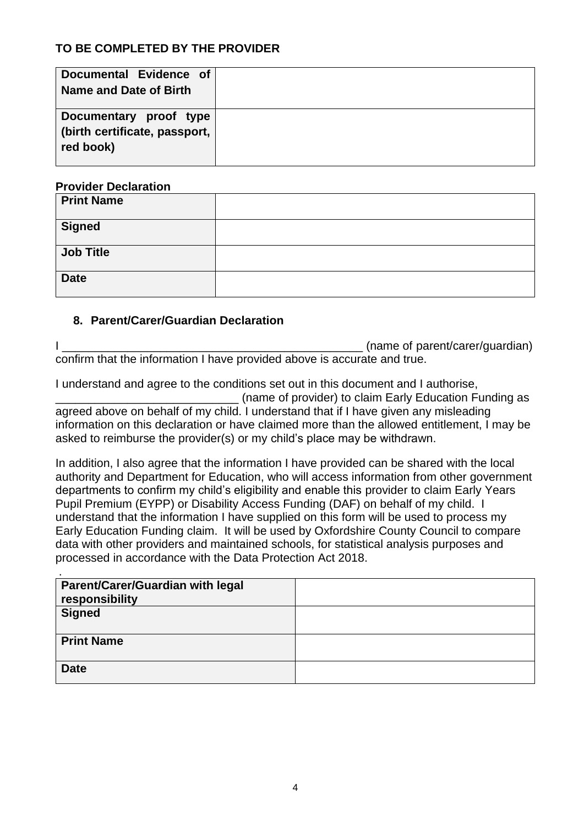# **TO BE COMPLETED BY THE PROVIDER**

| Documental Evidence of<br>Name and Date of Birth                     |  |
|----------------------------------------------------------------------|--|
| Documentary proof type<br>(birth certificate, passport,<br>red book) |  |

#### **Provider Declaration**

| <b>Print Name</b> |  |
|-------------------|--|
| <b>Signed</b>     |  |
| <b>Job Title</b>  |  |
| <b>Date</b>       |  |

# **8. Parent/Carer/Guardian Declaration**

I \_\_\_\_\_\_\_\_\_\_\_\_\_\_\_\_\_\_\_\_\_\_\_\_\_\_\_\_\_\_\_\_\_\_\_\_\_\_\_\_\_\_\_\_\_\_ (name of parent/carer/guardian) confirm that the information I have provided above is accurate and true.

I understand and agree to the conditions set out in this document and I authorise, \_\_\_\_\_\_\_\_\_\_\_\_\_\_\_\_\_\_\_\_\_\_\_\_\_\_\_\_ (name of provider) to claim Early Education Funding as agreed above on behalf of my child. I understand that if I have given any misleading information on this declaration or have claimed more than the allowed entitlement, I may be asked to reimburse the provider(s) or my child's place may be withdrawn.

In addition, I also agree that the information I have provided can be shared with the local authority and Department for Education, who will access information from other government departments to confirm my child's eligibility and enable this provider to claim Early Years Pupil Premium (EYPP) or Disability Access Funding (DAF) on behalf of my child. I understand that the information I have supplied on this form will be used to process my Early Education Funding claim. It will be used by Oxfordshire County Council to compare data with other providers and maintained schools, for statistical analysis purposes and processed in accordance with the Data Protection Act 2018.

| Parent/Carer/Guardian with legal<br>responsibility |  |
|----------------------------------------------------|--|
| <b>Signed</b>                                      |  |
| <b>Print Name</b>                                  |  |
| <b>Date</b>                                        |  |